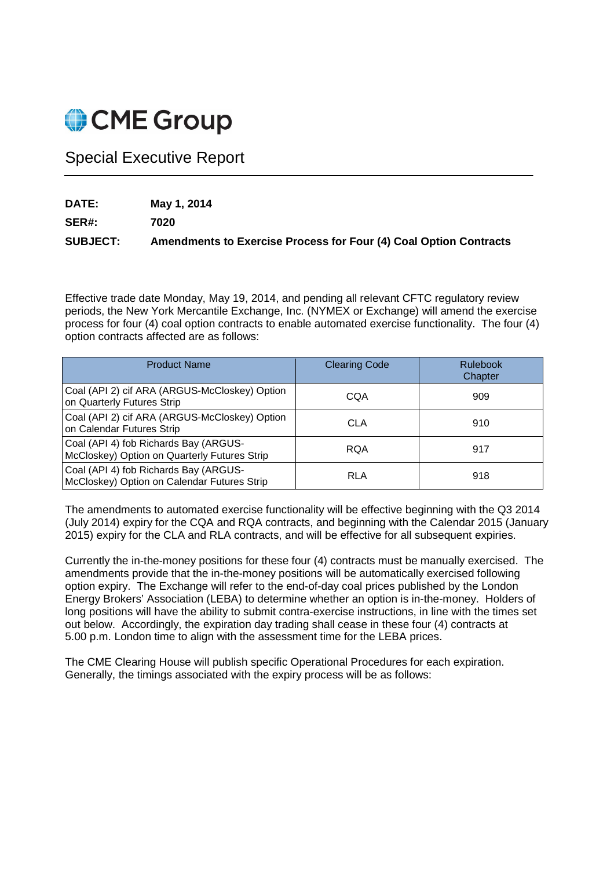

# Special Executive Report

**DATE: May 1, 2014** 

**SER#: 7020** 

**SUBJECT: Amendments to Exercise Process for Four (4) Coal Option Contracts** 

Effective trade date Monday, May 19, 2014, and pending all relevant CFTC regulatory review periods, the New York Mercantile Exchange, Inc. (NYMEX or Exchange) will amend the exercise process for four (4) coal option contracts to enable automated exercise functionality. The four (4) option contracts affected are as follows:

| <b>Product Name</b>                                                                   | <b>Clearing Code</b> | Rulebook<br>Chapter |
|---------------------------------------------------------------------------------------|----------------------|---------------------|
| Coal (API 2) cif ARA (ARGUS-McCloskey) Option<br>on Quarterly Futures Strip           | CQA                  | 909                 |
| Coal (API 2) cif ARA (ARGUS-McCloskey) Option<br>on Calendar Futures Strip            | CLA                  | 910                 |
| Coal (API 4) fob Richards Bay (ARGUS-<br>McCloskey) Option on Quarterly Futures Strip | <b>RQA</b>           | 917                 |
| Coal (API 4) fob Richards Bay (ARGUS-<br>McCloskey) Option on Calendar Futures Strip  | <b>RLA</b>           | 918                 |

The amendments to automated exercise functionality will be effective beginning with the Q3 2014 (July 2014) expiry for the CQA and RQA contracts, and beginning with the Calendar 2015 (January 2015) expiry for the CLA and RLA contracts, and will be effective for all subsequent expiries.

Currently the in-the-money positions for these four (4) contracts must be manually exercised. The amendments provide that the in-the-money positions will be automatically exercised following option expiry. The Exchange will refer to the end-of-day coal prices published by the London Energy Brokers' Association (LEBA) to determine whether an option is in-the-money. Holders of long positions will have the ability to submit contra-exercise instructions, in line with the times set out below. Accordingly, the expiration day trading shall cease in these four (4) contracts at 5.00 p.m. London time to align with the assessment time for the LEBA prices.

The CME Clearing House will publish specific Operational Procedures for each expiration. Generally, the timings associated with the expiry process will be as follows: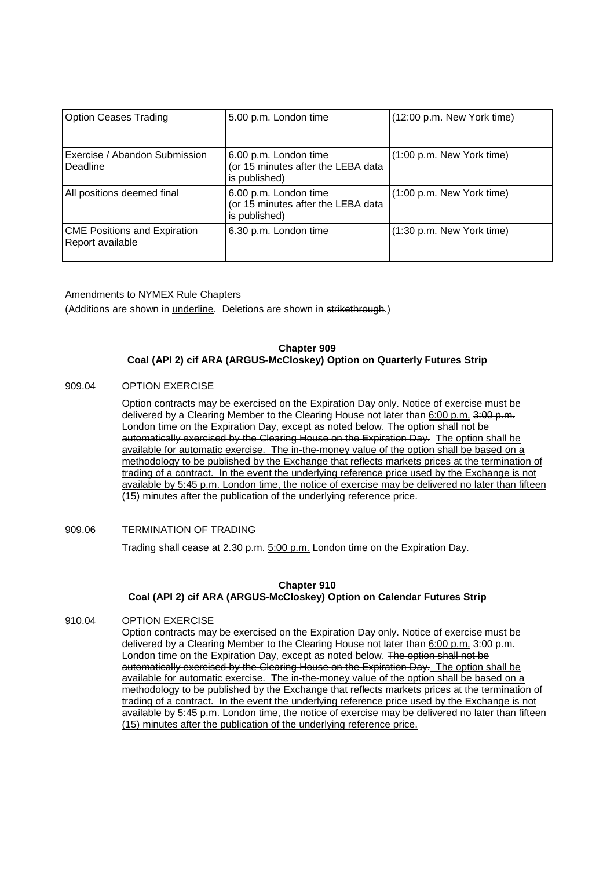| <b>Option Ceases Trading</b>                            | 5.00 p.m. London time                                                        | (12:00 p.m. New York time)          |
|---------------------------------------------------------|------------------------------------------------------------------------------|-------------------------------------|
| Exercise / Abandon Submission<br>Deadline               | 6.00 p.m. London time<br>(or 15 minutes after the LEBA data<br>is published) | (1:00 p.m. New York time)           |
| All positions deemed final                              | 6.00 p.m. London time<br>(or 15 minutes after the LEBA data<br>is published) | $(1:00 \text{ p.m.}$ New York time) |
| <b>CME Positions and Expiration</b><br>Report available | 6.30 p.m. London time                                                        | (1:30 p.m. New York time)           |

Amendments to NYMEX Rule Chapters

(Additions are shown in *underline*. Deletions are shown in strikethrough.)

## **Chapter 909 Coal (API 2) cif ARA (ARGUS-McCloskey) Option on Quarterly Futures Strip**

#### 909.04 OPTION EXERCISE

Option contracts may be exercised on the Expiration Day only. Notice of exercise must be delivered by a Clearing Member to the Clearing House not later than 6:00 p.m. 3:00 p.m. London time on the Expiration Day, except as noted below. The option shall not be automatically exercised by the Clearing House on the Expiration Day. The option shall be available for automatic exercise. The in-the-money value of the option shall be based on a methodology to be published by the Exchange that reflects markets prices at the termination of trading of a contract. In the event the underlying reference price used by the Exchange is not available by 5:45 p.m. London time, the notice of exercise may be delivered no later than fifteen (15) minutes after the publication of the underlying reference price.

## 909.06 TERMINATION OF TRADING

Trading shall cease at 2.30 p.m. 5:00 p.m. London time on the Expiration Day.

## **Chapter 910**

## **Coal (API 2) cif ARA (ARGUS-McCloskey) Option on Calendar Futures Strip**

# 910.04 OPTION EXERCISE

Option contracts may be exercised on the Expiration Day only. Notice of exercise must be delivered by a Clearing Member to the Clearing House not later than 6:00 p.m. 3:00 p.m. London time on the Expiration Day, except as noted below. The option shall not be automatically exercised by the Clearing House on the Expiration Day. The option shall be available for automatic exercise. The in-the-money value of the option shall be based on a methodology to be published by the Exchange that reflects markets prices at the termination of trading of a contract. In the event the underlying reference price used by the Exchange is not available by 5:45 p.m. London time, the notice of exercise may be delivered no later than fifteen (15) minutes after the publication of the underlying reference price.